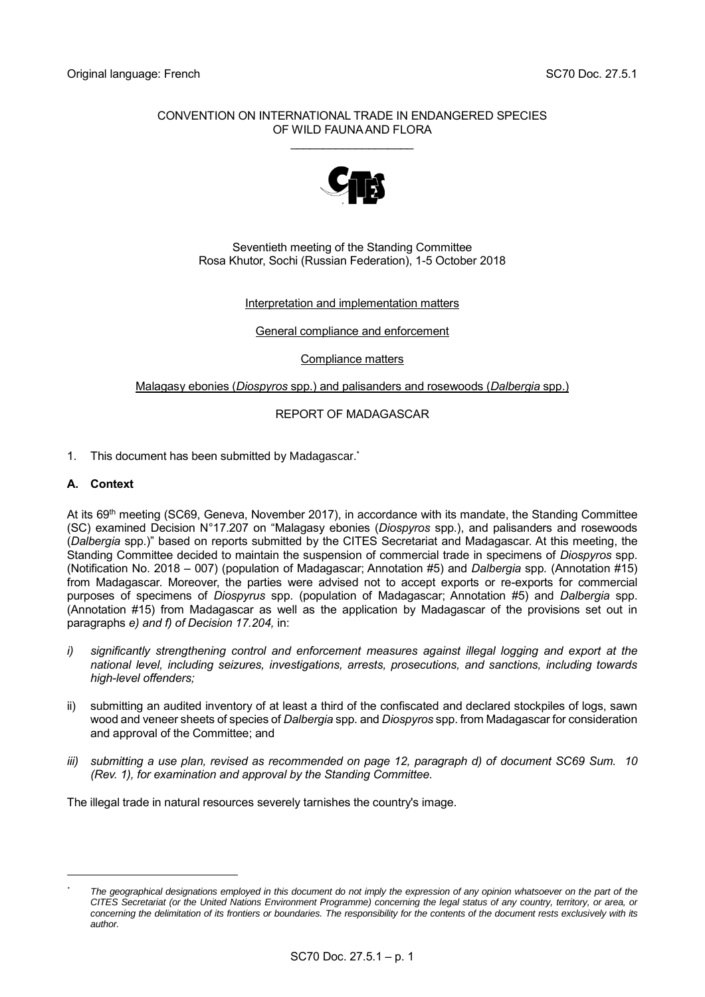# CONVENTION ON INTERNATIONAL TRADE IN ENDANGERED SPECIES OF WILD FAUNA AND FLORA

\_\_\_\_\_\_\_\_\_\_\_\_\_\_\_\_\_\_\_



Seventieth meeting of the Standing Committee Rosa Khutor, Sochi (Russian Federation), 1-5 October 2018

# Interpretation and implementation matters

#### General compliance and enforcement

Compliance matters

#### Malagasy ebonies (*Diospyros* spp.) and palisanders and rosewoods (*Dalbergia* spp.)

# REPORT OF MADAGASCAR

1. This document has been submitted by Madagascar. \*

#### **A. Context**

-

At its 69th meeting (SC69, Geneva, November 2017), in accordance with its mandate, the Standing Committee (SC) examined Decision N°17.207 on "Malagasy ebonies (*Diospyros* spp.), and palisanders and rosewoods (*Dalbergia* spp.)" based on reports submitted by the CITES Secretariat and Madagascar. At this meeting, the Standing Committee decided to maintain the suspension of commercial trade in specimens of *Diospyros* spp. (Notification No. 2018 – 007) (population of Madagascar; Annotation #5) and *Dalbergia* spp*.* (Annotation #15) from Madagascar. Moreover, the parties were advised not to accept exports or re-exports for commercial purposes of specimens of *Diospyrus* spp. (population of Madagascar; Annotation #5) and *Dalbergia* spp. (Annotation #15) from Madagascar as well as the application by Madagascar of the provisions set out in paragraphs *e) and f) of Decision 17.204,* in:

- *i) significantly strengthening control and enforcement measures against illegal logging and export at the national level, including seizures, investigations, arrests, prosecutions, and sanctions, including towards high-level offenders;*
- ii) submitting an audited inventory of at least a third of the confiscated and declared stockpiles of logs, sawn wood and veneer sheets of species of *Dalbergia* spp. and *Diospyros* spp. from Madagascar for consideration and approval of the Committee; and
- *iii) submitting a use plan, revised as recommended on page 12, paragraph d) of document SC69 Sum. 10 (Rev. 1), for examination and approval by the Standing Committee.*

The illegal trade in natural resources severely tarnishes the country's image.

*<sup>\*</sup> The geographical designations employed in this document do not imply the expression of any opinion whatsoever on the part of the CITES Secretariat (or the United Nations Environment Programme) concerning the legal status of any country, territory, or area, or concerning the delimitation of its frontiers or boundaries. The responsibility for the contents of the document rests exclusively with its author.*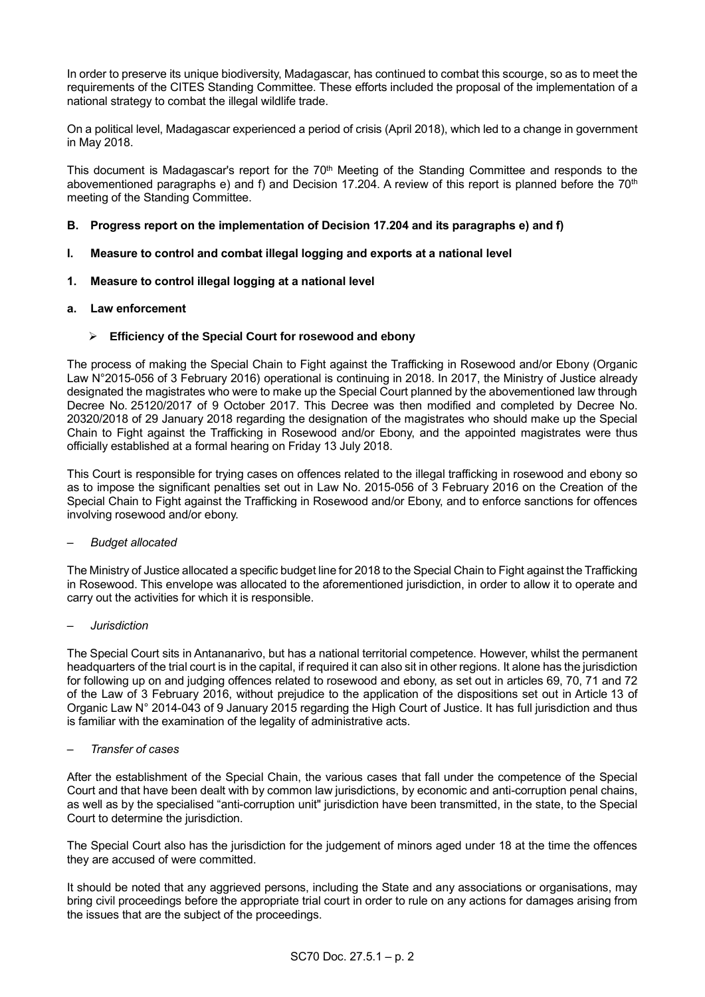In order to preserve its unique biodiversity, Madagascar, has continued to combat this scourge, so as to meet the requirements of the CITES Standing Committee. These efforts included the proposal of the implementation of a national strategy to combat the illegal wildlife trade.

On a political level, Madagascar experienced a period of crisis (April 2018), which led to a change in government in May 2018.

This document is Madagascar's report for the 70<sup>th</sup> Meeting of the Standing Committee and responds to the abovementioned paragraphs e) and f) and Decision 17.204. A review of this report is planned before the 70<sup>th</sup> meeting of the Standing Committee.

# **B. Progress report on the implementation of Decision 17.204 and its paragraphs e) and f)**

# **I. Measure to control and combat illegal logging and exports at a national level**

# **1. Measure to control illegal logging at a national level**

# **a. Law enforcement**

# **Efficiency of the Special Court for rosewood and ebony**

The process of making the Special Chain to Fight against the Trafficking in Rosewood and/or Ebony (Organic Law N°2015-056 of 3 February 2016) operational is continuing in 2018. In 2017, the Ministry of Justice already designated the magistrates who were to make up the Special Court planned by the abovementioned law through Decree No. 25120/2017 of 9 October 2017. This Decree was then modified and completed by Decree No. 20320/2018 of 29 January 2018 regarding the designation of the magistrates who should make up the Special Chain to Fight against the Trafficking in Rosewood and/or Ebony, and the appointed magistrates were thus officially established at a formal hearing on Friday 13 July 2018.

This Court is responsible for trying cases on offences related to the illegal trafficking in rosewood and ebony so as to impose the significant penalties set out in Law No. 2015-056 of 3 February 2016 on the Creation of the Special Chain to Fight against the Trafficking in Rosewood and/or Ebony, and to enforce sanctions for offences involving rosewood and/or ebony.

# *– Budget allocated*

The Ministry of Justice allocated a specific budget line for 2018 to the Special Chain to Fight against the Trafficking in Rosewood. This envelope was allocated to the aforementioned jurisdiction, in order to allow it to operate and carry out the activities for which it is responsible.

# *– Jurisdiction*

The Special Court sits in Antananarivo, but has a national territorial competence. However, whilst the permanent headquarters of the trial court is in the capital, if required it can also sit in other regions. It alone has the jurisdiction for following up on and judging offences related to rosewood and ebony, as set out in articles 69, 70, 71 and 72 of the Law of 3 February 2016, without prejudice to the application of the dispositions set out in Article 13 of Organic Law N° 2014-043 of 9 January 2015 regarding the High Court of Justice. It has full jurisdiction and thus is familiar with the examination of the legality of administrative acts.

# *– Transfer of cases*

After the establishment of the Special Chain, the various cases that fall under the competence of the Special Court and that have been dealt with by common law jurisdictions, by economic and anti-corruption penal chains, as well as by the specialised "anti-corruption unit" jurisdiction have been transmitted, in the state, to the Special Court to determine the jurisdiction.

The Special Court also has the jurisdiction for the judgement of minors aged under 18 at the time the offences they are accused of were committed.

It should be noted that any aggrieved persons, including the State and any associations or organisations, may bring civil proceedings before the appropriate trial court in order to rule on any actions for damages arising from the issues that are the subject of the proceedings.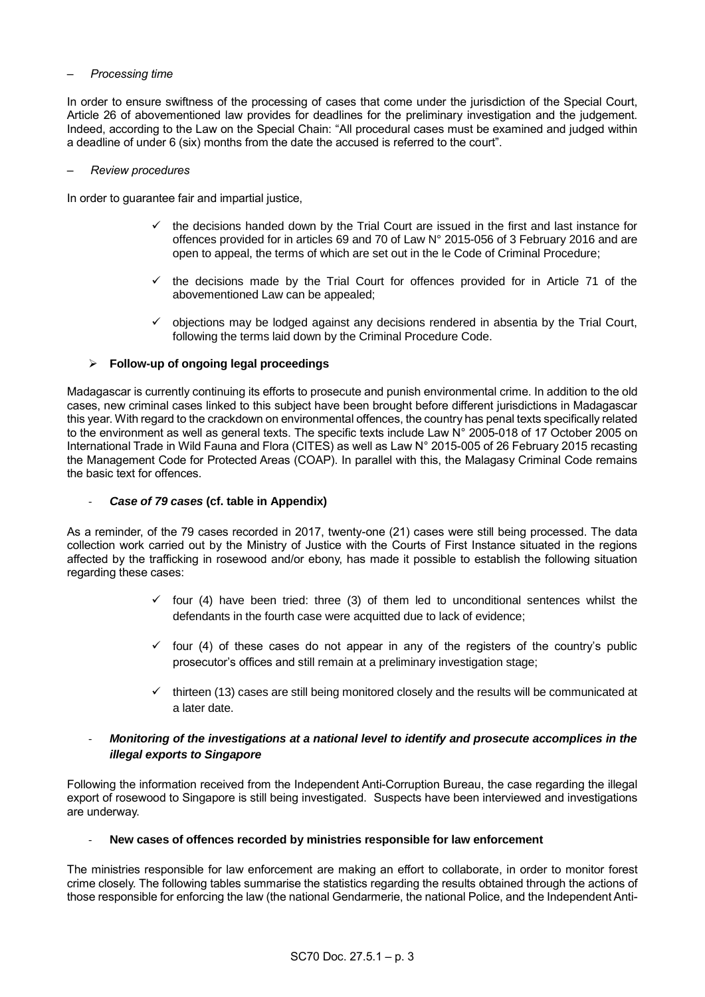#### *– Processing time*

In order to ensure swiftness of the processing of cases that come under the jurisdiction of the Special Court, Article 26 of abovementioned law provides for deadlines for the preliminary investigation and the judgement. Indeed, according to the Law on the Special Chain: "All procedural cases must be examined and judged within a deadline of under 6 (six) months from the date the accused is referred to the court".

#### *– Review procedures*

In order to guarantee fair and impartial justice,

- $\checkmark$  the decisions handed down by the Trial Court are issued in the first and last instance for offences provided for in articles 69 and 70 of Law N° 2015-056 of 3 February 2016 and are open to appeal, the terms of which are set out in the le Code of Criminal Procedure;
- $\checkmark$  the decisions made by the Trial Court for offences provided for in Article 71 of the abovementioned Law can be appealed;
- $\checkmark$  objections may be lodged against any decisions rendered in absentia by the Trial Court, following the terms laid down by the Criminal Procedure Code.

#### **Follow-up of ongoing legal proceedings**

Madagascar is currently continuing its efforts to prosecute and punish environmental crime. In addition to the old cases, new criminal cases linked to this subject have been brought before different jurisdictions in Madagascar this year. With regard to the crackdown on environmental offences, the country has penal texts specifically related to the environment as well as general texts. The specific texts include Law N° 2005-018 of 17 October 2005 on International Trade in Wild Fauna and Flora (CITES) as well as Law N° 2015-005 of 26 February 2015 recasting the Management Code for Protected Areas (COAP). In parallel with this, the Malagasy Criminal Code remains the basic text for offences.

#### - *Case of 79 cases* **(cf. table in Appendix)**

As a reminder, of the 79 cases recorded in 2017, twenty-one (21) cases were still being processed. The data collection work carried out by the Ministry of Justice with the Courts of First Instance situated in the regions affected by the trafficking in rosewood and/or ebony, has made it possible to establish the following situation regarding these cases:

- $\checkmark$  four (4) have been tried: three (3) of them led to unconditional sentences whilst the defendants in the fourth case were acquitted due to lack of evidence;
- $\checkmark$  four (4) of these cases do not appear in any of the registers of the country's public prosecutor's offices and still remain at a preliminary investigation stage;
- $\checkmark$  thirteen (13) cases are still being monitored closely and the results will be communicated at a later date.

# - *Monitoring of the investigations at a national level to identify and prosecute accomplices in the illegal exports to Singapore*

Following the information received from the Independent Anti-Corruption Bureau, the case regarding the illegal export of rosewood to Singapore is still being investigated. Suspects have been interviewed and investigations are underway.

#### - **New cases of offences recorded by ministries responsible for law enforcement**

The ministries responsible for law enforcement are making an effort to collaborate, in order to monitor forest crime closely. The following tables summarise the statistics regarding the results obtained through the actions of those responsible for enforcing the law (the national Gendarmerie, the national Police, and the Independent Anti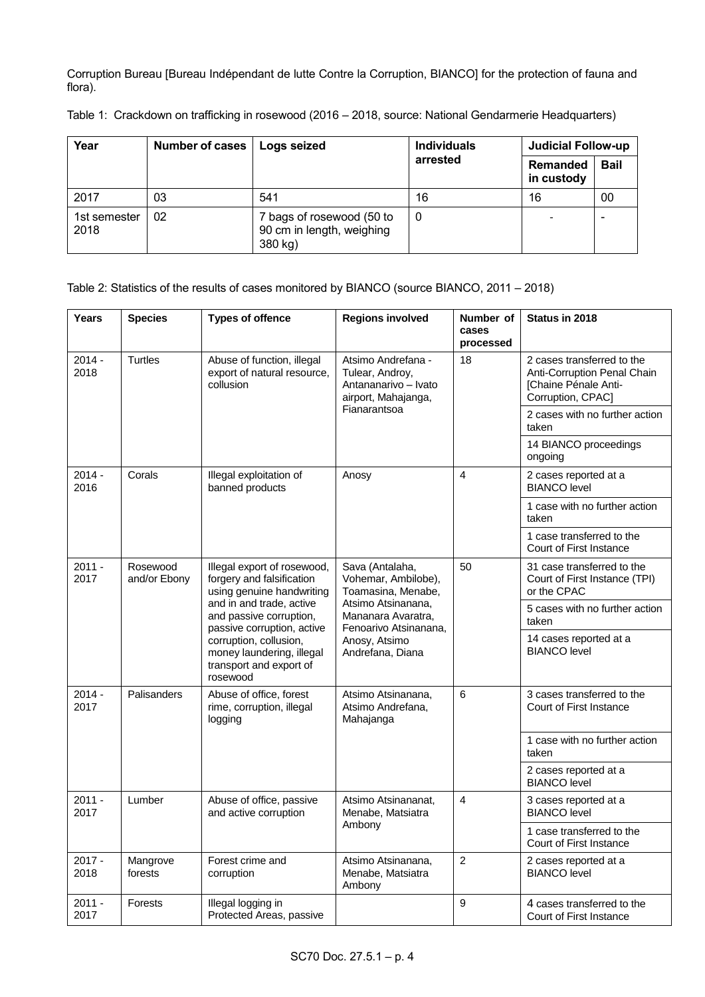Corruption Bureau [Bureau Indépendant de lutte Contre la Corruption, BIANCO] for the protection of fauna and flora).

| Year                 | Number of cases | Logs seized                                                       | <b>Individuals</b>                 | <b>Judicial Follow-up</b> |             |
|----------------------|-----------------|-------------------------------------------------------------------|------------------------------------|---------------------------|-------------|
|                      |                 |                                                                   | arrested<br>Remanded<br>in custody |                           | <b>Bail</b> |
| 2017                 | 03              | 541                                                               | 16                                 | 16                        | 00          |
| 1st semester<br>2018 | 02              | 7 bags of rosewood (50 to<br>90 cm in length, weighing<br>380 kg) | $\mathbf 0$                        | -                         |             |

Table 1: Crackdown on trafficking in rosewood (2016 – 2018, source: National Gendarmerie Headquarters)

# Table 2: Statistics of the results of cases monitored by BIANCO (source BIANCO, 2011 – 2018)

| <b>Years</b>     | <b>Species</b>           | <b>Types of offence</b>                                                                                                                                                    | <b>Regions involved</b>                                                                                                           | Number of<br>cases<br>processed | Status in 2018                                                                                         |
|------------------|--------------------------|----------------------------------------------------------------------------------------------------------------------------------------------------------------------------|-----------------------------------------------------------------------------------------------------------------------------------|---------------------------------|--------------------------------------------------------------------------------------------------------|
| $2014 -$<br>2018 | <b>Turtles</b>           | Abuse of function, illegal<br>export of natural resource,<br>collusion                                                                                                     | Atsimo Andrefana -<br>Tulear, Androy,<br>Antananarivo - Ivato<br>airport, Mahajanga,<br>Fianarantsoa                              | 18                              | 2 cases transferred to the<br>Anti-Corruption Penal Chain<br>[Chaine Pénale Anti-<br>Corruption, CPAC] |
|                  |                          |                                                                                                                                                                            |                                                                                                                                   |                                 | 2 cases with no further action<br>taken                                                                |
|                  |                          |                                                                                                                                                                            |                                                                                                                                   |                                 | 14 BIANCO proceedings<br>ongoing                                                                       |
| $2014 -$<br>2016 | Corals                   | Illegal exploitation of<br>banned products                                                                                                                                 | Anosy                                                                                                                             | 4                               | 2 cases reported at a<br><b>BIANCO</b> level                                                           |
|                  |                          |                                                                                                                                                                            |                                                                                                                                   |                                 | 1 case with no further action<br>taken                                                                 |
|                  |                          |                                                                                                                                                                            |                                                                                                                                   |                                 | 1 case transferred to the<br>Court of First Instance                                                   |
| $2011 -$<br>2017 | Rosewood<br>and/or Ebony | Illegal export of rosewood,<br>forgery and falsification<br>using genuine handwriting<br>and in and trade, active<br>and passive corruption,<br>passive corruption, active | Sava (Antalaha,<br>Vohemar, Ambilobe),<br>Toamasina, Menabe,<br>Atsimo Atsinanana,<br>Mananara Avaratra,<br>Fenoarivo Atsinanana, | 50                              | 31 case transferred to the<br>Court of First Instance (TPI)<br>or the CPAC                             |
|                  |                          |                                                                                                                                                                            |                                                                                                                                   |                                 | 5 cases with no further action<br>taken                                                                |
|                  |                          | corruption, collusion,<br>Anosy, Atsimo<br>money laundering, illegal<br>Andrefana, Diana<br>transport and export of<br>rosewood                                            |                                                                                                                                   |                                 | 14 cases reported at a<br><b>BIANCO</b> level                                                          |
| $2014 -$<br>2017 | Palisanders              | Abuse of office, forest<br>rime, corruption, illegal<br>logging                                                                                                            | Atsimo Atsinanana,<br>Atsimo Andrefana,<br>Mahajanga                                                                              | 6                               | 3 cases transferred to the<br>Court of First Instance                                                  |
|                  |                          |                                                                                                                                                                            |                                                                                                                                   |                                 | 1 case with no further action<br>taken                                                                 |
|                  |                          |                                                                                                                                                                            |                                                                                                                                   |                                 | 2 cases reported at a<br><b>BIANCO</b> level                                                           |
| $2011 -$<br>2017 | Lumber                   | Abuse of office, passive<br>and active corruption                                                                                                                          | Atsimo Atsinananat,<br>Menabe, Matsiatra<br>Ambony                                                                                | 4                               | 3 cases reported at a<br><b>BIANCO</b> level                                                           |
|                  |                          |                                                                                                                                                                            |                                                                                                                                   |                                 | 1 case transferred to the<br>Court of First Instance                                                   |
| $2017 -$<br>2018 | Mangrove<br>forests      | Forest crime and<br>corruption                                                                                                                                             | Atsimo Atsinanana,<br>Menabe, Matsiatra<br>Ambony                                                                                 | $\overline{2}$                  | 2 cases reported at a<br><b>BIANCO</b> level                                                           |
| 2011 -<br>2017   | Forests                  | Illegal logging in<br>Protected Areas, passive                                                                                                                             |                                                                                                                                   | 9                               | 4 cases transferred to the<br>Court of First Instance                                                  |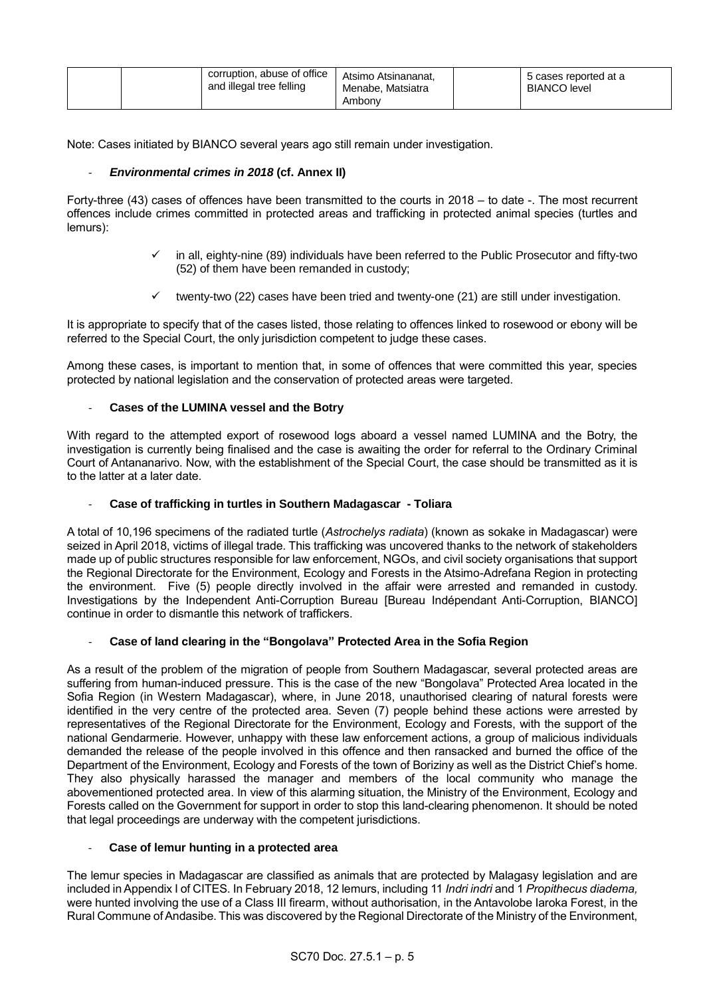| and illegal tree felling | corruption, abuse of office<br>Atsimo Atsinananat,<br>Menabe, Matsiatra<br>Ambony | 5 cases reported at a<br><b>BIANCO</b> level |
|--------------------------|-----------------------------------------------------------------------------------|----------------------------------------------|
|--------------------------|-----------------------------------------------------------------------------------|----------------------------------------------|

Note: Cases initiated by BIANCO several years ago still remain under investigation.

# - *Environmental crimes in 2018* **(cf. Annex II)**

Forty-three (43) cases of offences have been transmitted to the courts in 2018 – to date -. The most recurrent offences include crimes committed in protected areas and trafficking in protected animal species (turtles and lemurs):

- $\checkmark$  in all, eighty-nine (89) individuals have been referred to the Public Prosecutor and fifty-two (52) of them have been remanded in custody;
- twenty-two (22) cases have been tried and twenty-one (21) are still under investigation.

It is appropriate to specify that of the cases listed, those relating to offences linked to rosewood or ebony will be referred to the Special Court, the only jurisdiction competent to judge these cases.

Among these cases, is important to mention that, in some of offences that were committed this year, species protected by national legislation and the conservation of protected areas were targeted.

# - **Cases of the LUMINA vessel and the Botry**

With regard to the attempted export of rosewood logs aboard a vessel named LUMINA and the Botry, the investigation is currently being finalised and the case is awaiting the order for referral to the Ordinary Criminal Court of Antananarivo. Now, with the establishment of the Special Court, the case should be transmitted as it is to the latter at a later date.

# - **Case of trafficking in turtles in Southern Madagascar - Toliara**

A total of 10,196 specimens of the radiated turtle (*Astrochelys radiata*) (known as sokake in Madagascar) were seized in April 2018, victims of illegal trade. This trafficking was uncovered thanks to the network of stakeholders made up of public structures responsible for law enforcement, NGOs, and civil society organisations that support the Regional Directorate for the Environment, Ecology and Forests in the Atsimo-Adrefana Region in protecting the environment. Five (5) people directly involved in the affair were arrested and remanded in custody. Investigations by the Independent Anti-Corruption Bureau [Bureau Indépendant Anti-Corruption, BIANCO] continue in order to dismantle this network of traffickers.

# Case of land clearing in the "Bongolava" Protected Area in the Sofia Region

As a result of the problem of the migration of people from Southern Madagascar, several protected areas are suffering from human-induced pressure. This is the case of the new "Bongolava" Protected Area located in the Sofia Region (in Western Madagascar), where, in June 2018, unauthorised clearing of natural forests were identified in the very centre of the protected area. Seven (7) people behind these actions were arrested by representatives of the Regional Directorate for the Environment, Ecology and Forests, with the support of the national Gendarmerie. However, unhappy with these law enforcement actions, a group of malicious individuals demanded the release of the people involved in this offence and then ransacked and burned the office of the Department of the Environment, Ecology and Forests of the town of Boriziny as well as the District Chief's home. They also physically harassed the manager and members of the local community who manage the abovementioned protected area. In view of this alarming situation, the Ministry of the Environment, Ecology and Forests called on the Government for support in order to stop this land-clearing phenomenon. It should be noted that legal proceedings are underway with the competent jurisdictions.

# - **Case of lemur hunting in a protected area**

The lemur species in Madagascar are classified as animals that are protected by Malagasy legislation and are included in Appendix I of CITES. In February 2018, 12 lemurs, including 11 *Indri indri* and 1 *Propithecus diadema,* were hunted involving the use of a Class III firearm, without authorisation, in the Antavolobe Iaroka Forest, in the Rural Commune of Andasibe. This was discovered by the Regional Directorate of the Ministry of the Environment,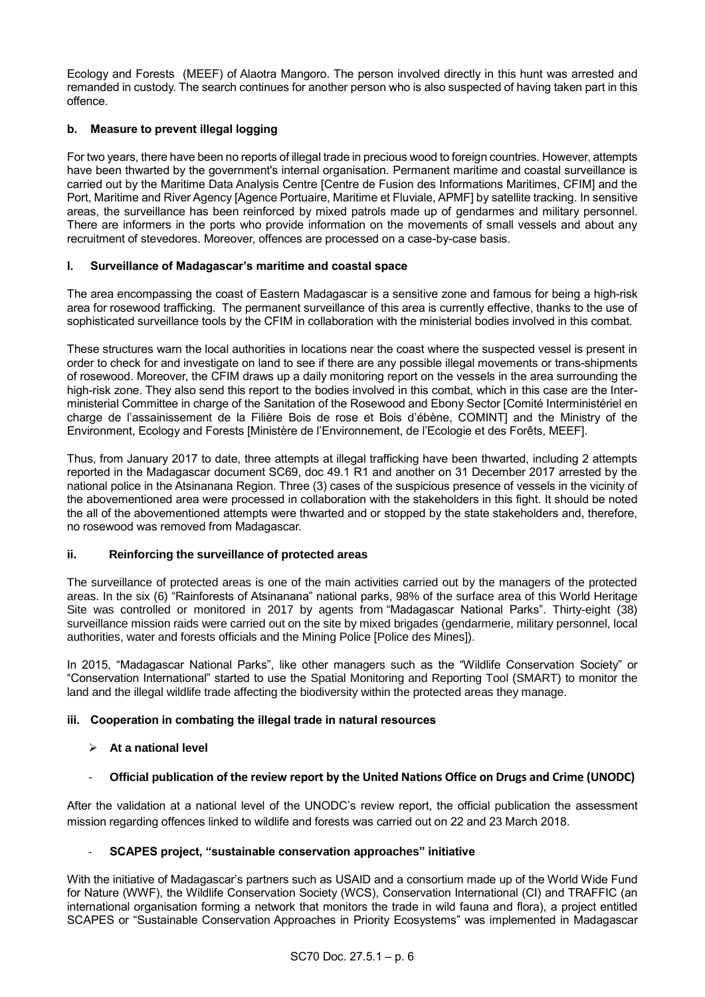Ecology and Forests (MEEF) of Alaotra Mangoro. The person involved directly in this hunt was arrested and remanded in custody. The search continues for another person who is also suspected of having taken part in this offence.

# **b. Measure to prevent illegal logging**

For two years, there have been no reports of illegal trade in precious wood to foreign countries. However, attempts have been thwarted by the government's internal organisation. Permanent maritime and coastal surveillance is carried out by the Maritime Data Analysis Centre [Centre de Fusion des Informations Maritimes, CFIM] and the Port, Maritime and River Agency [Agence Portuaire, Maritime et Fluviale, APMF] by satellite tracking. In sensitive areas, the surveillance has been reinforced by mixed patrols made up of gendarmes and military personnel. There are informers in the ports who provide information on the movements of small vessels and about any recruitment of stevedores. Moreover, offences are processed on a case-by-case basis.

# **I. Surveillance of Madagascar's maritime and coastal space**

The area encompassing the coast of Eastern Madagascar is a sensitive zone and famous for being a high-risk area for rosewood trafficking. The permanent surveillance of this area is currently effective, thanks to the use of sophisticated surveillance tools by the CFIM in collaboration with the ministerial bodies involved in this combat.

These structures warn the local authorities in locations near the coast where the suspected vessel is present in order to check for and investigate on land to see if there are any possible illegal movements or trans-shipments of rosewood. Moreover, the CFIM draws up a daily monitoring report on the vessels in the area surrounding the high-risk zone. They also send this report to the bodies involved in this combat, which in this case are the Interministerial Committee in charge of the Sanitation of the Rosewood and Ebony Sector [Comité Interministériel en charge de l'assainissement de la Filière Bois de rose et Bois d'ébène, COMINT] and the Ministry of the Environment, Ecology and Forests [Ministère de l'Environnement, de l'Ecologie et des Forêts, MEEF].

Thus, from January 2017 to date, three attempts at illegal trafficking have been thwarted, including 2 attempts reported in the Madagascar document SC69, doc 49.1 R1 and another on 31 December 2017 arrested by the national police in the Atsinanana Region. Three (3) cases of the suspicious presence of vessels in the vicinity of the abovementioned area were processed in collaboration with the stakeholders in this fight. It should be noted the all of the abovementioned attempts were thwarted and or stopped by the state stakeholders and, therefore, no rosewood was removed from Madagascar.

# **ii. Reinforcing the surveillance of protected areas**

The surveillance of protected areas is one of the main activities carried out by the managers of the protected areas. In the six (6) "Rainforests of Atsinanana" national parks, 98% of the surface area of this World Heritage Site was controlled or monitored in 2017 by agents from "Madagascar National Parks". Thirty-eight (38) surveillance mission raids were carried out on the site by mixed brigades (gendarmerie, military personnel, local authorities, water and forests officials and the Mining Police [Police des Mines]).

In 2015, "Madagascar National Parks", like other managers such as the "Wildlife Conservation Society" or "Conservation International" started to use the Spatial Monitoring and Reporting Tool (SMART) to monitor the land and the illegal wildlife trade affecting the biodiversity within the protected areas they manage.

# **iii. Cooperation in combating the illegal trade in natural resources**

# **At a national level**

- **Official publication of the review report by the United Nations Office on Drugs and Crime (UNODC)**

After the validation at a national level of the UNODC's review report, the official publication the assessment mission regarding offences linked to wildlife and forests was carried out on 22 and 23 March 2018.

# - **SCAPES project, "sustainable conservation approaches" initiative**

With the initiative of Madagascar's partners such as USAID and a consortium made up of the World Wide Fund for Nature (WWF), the Wildlife Conservation Society (WCS), Conservation International (CI) and TRAFFIC (an international organisation forming a network that monitors the trade in wild fauna and flora), a project entitled SCAPES or "Sustainable Conservation Approaches in Priority Ecosystems" was implemented in Madagascar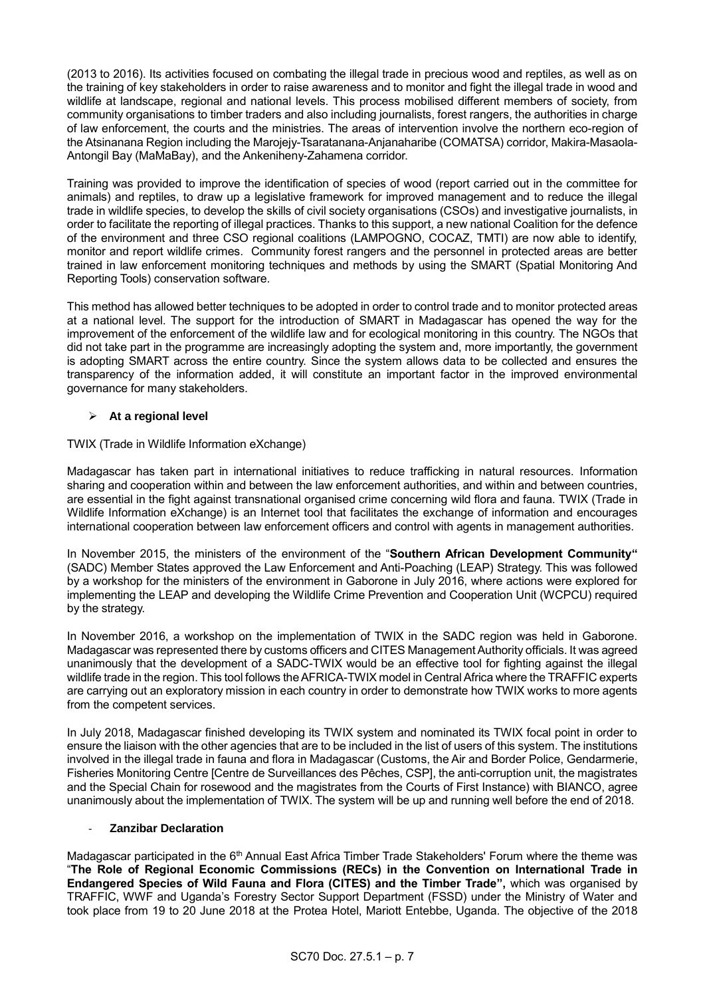(2013 to 2016). Its activities focused on combating the illegal trade in precious wood and reptiles, as well as on the training of key stakeholders in order to raise awareness and to monitor and fight the illegal trade in wood and wildlife at landscape, regional and national levels. This process mobilised different members of society, from community organisations to timber traders and also including journalists, forest rangers, the authorities in charge of law enforcement, the courts and the ministries. The areas of intervention involve the northern eco-region of the Atsinanana Region including the Marojejy-Tsaratanana-Anjanaharibe (COMATSA) corridor, Makira-Masaola-Antongil Bay (MaMaBay), and the Ankeniheny-Zahamena corridor.

Training was provided to improve the identification of species of wood (report carried out in the committee for animals) and reptiles, to draw up a legislative framework for improved management and to reduce the illegal trade in wildlife species, to develop the skills of civil society organisations (CSOs) and investigative journalists, in order to facilitate the reporting of illegal practices. Thanks to this support, a new national Coalition for the defence of the environment and three CSO regional coalitions (LAMPOGNO, COCAZ, TMTI) are now able to identify, monitor and report wildlife crimes. Community forest rangers and the personnel in protected areas are better trained in law enforcement monitoring techniques and methods by using the SMART (Spatial Monitoring And Reporting Tools) conservation software.

This method has allowed better techniques to be adopted in order to control trade and to monitor protected areas at a national level. The support for the introduction of SMART in Madagascar has opened the way for the improvement of the enforcement of the wildlife law and for ecological monitoring in this country. The NGOs that did not take part in the programme are increasingly adopting the system and, more importantly, the government is adopting SMART across the entire country. Since the system allows data to be collected and ensures the transparency of the information added, it will constitute an important factor in the improved environmental governance for many stakeholders.

# **At a regional level**

# TWIX (Trade in Wildlife Information eXchange)

Madagascar has taken part in international initiatives to reduce trafficking in natural resources. Information sharing and cooperation within and between the law enforcement authorities, and within and between countries, are essential in the fight against transnational organised crime concerning wild flora and fauna. TWIX (Trade in Wildlife Information eXchange) is an Internet tool that facilitates the exchange of information and encourages international cooperation between law enforcement officers and control with agents in management authorities.

In November 2015, the ministers of the environment of the "**Southern African Development Community"** (SADC) Member States approved the Law Enforcement and Anti-Poaching (LEAP) Strategy. This was followed by a workshop for the ministers of the environment in Gaborone in July 2016, where actions were explored for implementing the LEAP and developing the Wildlife Crime Prevention and Cooperation Unit (WCPCU) required by the strategy.

In November 2016, a workshop on the implementation of TWIX in the SADC region was held in Gaborone. Madagascar was represented there by customs officers and CITES Management Authority officials. It was agreed unanimously that the development of a SADC-TWIX would be an effective tool for fighting against the illegal wildlife trade in the region. This tool follows the AFRICA-TWIX model in Central Africa where the TRAFFIC experts are carrying out an exploratory mission in each country in order to demonstrate how TWIX works to more agents from the competent services.

In July 2018, Madagascar finished developing its TWIX system and nominated its TWIX focal point in order to ensure the liaison with the other agencies that are to be included in the list of users of this system. The institutions involved in the illegal trade in fauna and flora in Madagascar (Customs, the Air and Border Police, Gendarmerie, Fisheries Monitoring Centre [Centre de Surveillances des Pêches, CSP], the anti-corruption unit, the magistrates and the Special Chain for rosewood and the magistrates from the Courts of First Instance) with BIANCO, agree unanimously about the implementation of TWIX. The system will be up and running well before the end of 2018.

# - **Zanzibar Declaration**

Madagascar participated in the 6<sup>th</sup> Annual East Africa Timber Trade Stakeholders' Forum where the theme was "**The Role of Regional Economic Commissions (RECs) in the Convention on International Trade in Endangered Species of Wild Fauna and Flora (CITES) and the Timber Trade",** which was organised by TRAFFIC, WWF and Uganda's Forestry Sector Support Department (FSSD) under the Ministry of Water and took place from 19 to 20 June 2018 at the Protea Hotel, Mariott Entebbe, Uganda. The objective of the 2018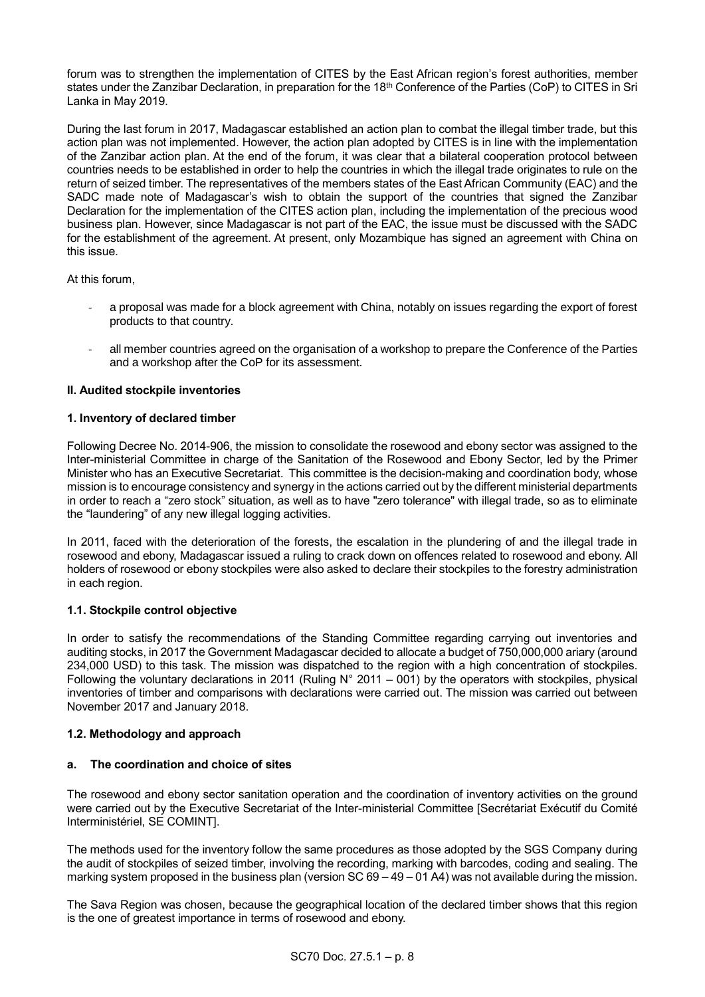forum was to strengthen the implementation of CITES by the East African region's forest authorities, member states under the Zanzibar Declaration, in preparation for the 18<sup>th</sup> Conference of the Parties (CoP) to CITES in Sri Lanka in May 2019.

During the last forum in 2017, Madagascar established an action plan to combat the illegal timber trade, but this action plan was not implemented. However, the action plan adopted by CITES is in line with the implementation of the Zanzibar action plan. At the end of the forum, it was clear that a bilateral cooperation protocol between countries needs to be established in order to help the countries in which the illegal trade originates to rule on the return of seized timber. The representatives of the members states of the East African Community (EAC) and the SADC made note of Madagascar's wish to obtain the support of the countries that signed the Zanzibar Declaration for the implementation of the CITES action plan, including the implementation of the precious wood business plan. However, since Madagascar is not part of the EAC, the issue must be discussed with the SADC for the establishment of the agreement. At present, only Mozambique has signed an agreement with China on this issue.

At this forum,

- a proposal was made for a block agreement with China, notably on issues regarding the export of forest products to that country.
- all member countries agreed on the organisation of a workshop to prepare the Conference of the Parties and a workshop after the CoP for its assessment.

# **II. Audited stockpile inventories**

# **1. Inventory of declared timber**

Following Decree No. 2014-906, the mission to consolidate the rosewood and ebony sector was assigned to the Inter-ministerial Committee in charge of the Sanitation of the Rosewood and Ebony Sector, led by the Primer Minister who has an Executive Secretariat. This committee is the decision-making and coordination body, whose mission is to encourage consistency and synergy in the actions carried out by the different ministerial departments in order to reach a "zero stock" situation, as well as to have "zero tolerance" with illegal trade, so as to eliminate the "laundering" of any new illegal logging activities.

In 2011, faced with the deterioration of the forests, the escalation in the plundering of and the illegal trade in rosewood and ebony, Madagascar issued a ruling to crack down on offences related to rosewood and ebony. All holders of rosewood or ebony stockpiles were also asked to declare their stockpiles to the forestry administration in each region.

# **1.1. Stockpile control objective**

In order to satisfy the recommendations of the Standing Committee regarding carrying out inventories and auditing stocks, in 2017 the Government Madagascar decided to allocate a budget of 750,000,000 ariary (around 234,000 USD) to this task. The mission was dispatched to the region with a high concentration of stockpiles. Following the voluntary declarations in 2011 (Ruling N° 2011 – 001) by the operators with stockpiles, physical inventories of timber and comparisons with declarations were carried out. The mission was carried out between November 2017 and January 2018.

# **1.2. Methodology and approach**

# **a. The coordination and choice of sites**

The rosewood and ebony sector sanitation operation and the coordination of inventory activities on the ground were carried out by the Executive Secretariat of the Inter-ministerial Committee [Secrétariat Exécutif du Comité Interministériel, SE COMINT].

The methods used for the inventory follow the same procedures as those adopted by the SGS Company during the audit of stockpiles of seized timber, involving the recording, marking with barcodes, coding and sealing. The marking system proposed in the business plan (version SC 69 – 49 – 01 A4) was not available during the mission.

The Sava Region was chosen, because the geographical location of the declared timber shows that this region is the one of greatest importance in terms of rosewood and ebony.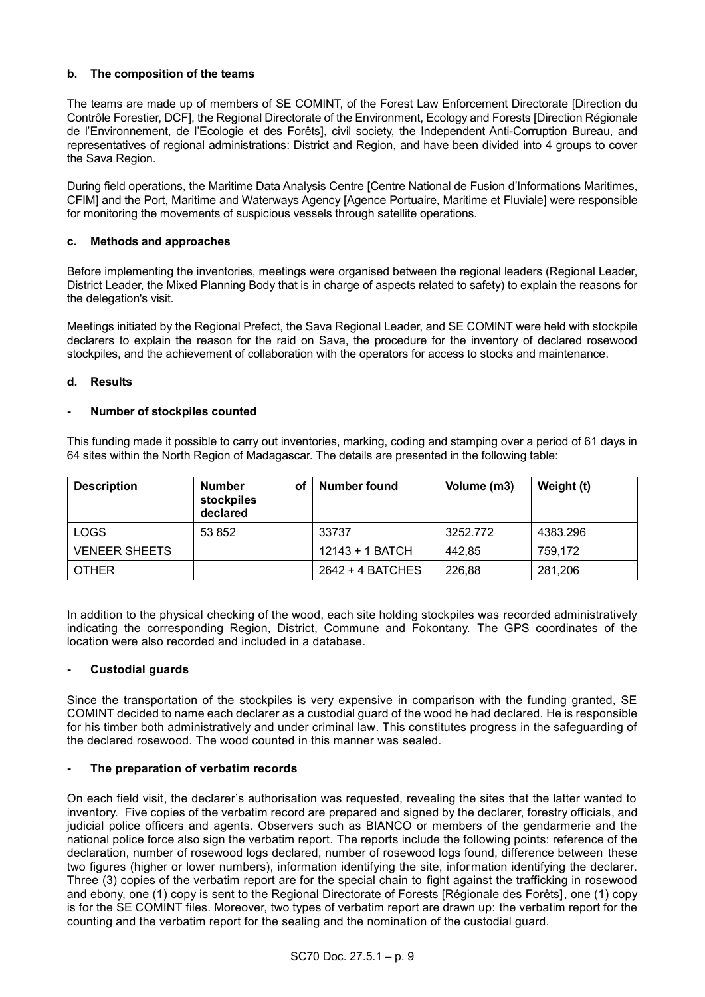# **b. The composition of the teams**

The teams are made up of members of SE COMINT, of the Forest Law Enforcement Directorate [Direction du Contrôle Forestier, DCF], the Regional Directorate of the Environment, Ecology and Forests [Direction Régionale de l'Environnement, de l'Ecologie et des Forêts], civil society, the Independent Anti-Corruption Bureau, and representatives of regional administrations: District and Region, and have been divided into 4 groups to cover the Sava Region.

During field operations, the Maritime Data Analysis Centre [Centre National de Fusion d'Informations Maritimes, CFIM] and the Port, Maritime and Waterways Agency [Agence Portuaire, Maritime et Fluviale] were responsible for monitoring the movements of suspicious vessels through satellite operations.

#### **c. Methods and approaches**

Before implementing the inventories, meetings were organised between the regional leaders (Regional Leader, District Leader, the Mixed Planning Body that is in charge of aspects related to safety) to explain the reasons for the delegation's visit.

Meetings initiated by the Regional Prefect, the Sava Regional Leader, and SE COMINT were held with stockpile declarers to explain the reason for the raid on Sava, the procedure for the inventory of declared rosewood stockpiles, and the achievement of collaboration with the operators for access to stocks and maintenance.

#### **d. Results**

#### **- Number of stockpiles counted**

This funding made it possible to carry out inventories, marking, coding and stamping over a period of 61 days in 64 sites within the North Region of Madagascar. The details are presented in the following table:

| <b>Description</b>   | <b>Number</b><br>оf<br>stockpiles<br>declared | Number found     | Volume (m3) | Weight (t) |  |
|----------------------|-----------------------------------------------|------------------|-------------|------------|--|
| <b>LOGS</b>          | 53 852                                        | 33737            | 3252.772    | 4383.296   |  |
| <b>VENEER SHEETS</b> |                                               | 12143 + 1 BATCH  | 442.85      | 759.172    |  |
| <b>OTHER</b>         |                                               | 2642 + 4 BATCHES | 226,88      | 281,206    |  |

In addition to the physical checking of the wood, each site holding stockpiles was recorded administratively indicating the corresponding Region, District, Commune and Fokontany. The GPS coordinates of the location were also recorded and included in a database.

#### **- Custodial guards**

Since the transportation of the stockpiles is very expensive in comparison with the funding granted, SE COMINT decided to name each declarer as a custodial guard of the wood he had declared. He is responsible for his timber both administratively and under criminal law. This constitutes progress in the safeguarding of the declared rosewood. The wood counted in this manner was sealed.

# **- The preparation of verbatim records**

On each field visit, the declarer's authorisation was requested, revealing the sites that the latter wanted to inventory. Five copies of the verbatim record are prepared and signed by the declarer, forestry officials, and judicial police officers and agents. Observers such as BIANCO or members of the gendarmerie and the national police force also sign the verbatim report. The reports include the following points: reference of the declaration, number of rosewood logs declared, number of rosewood logs found, difference between these two figures (higher or lower numbers), information identifying the site, information identifying the declarer. Three (3) copies of the verbatim report are for the special chain to fight against the trafficking in rosewood and ebony, one (1) copy is sent to the Regional Directorate of Forests [Régionale des Forêts], one (1) copy is for the SE COMINT files. Moreover, two types of verbatim report are drawn up: the verbatim report for the counting and the verbatim report for the sealing and the nomination of the custodial guard.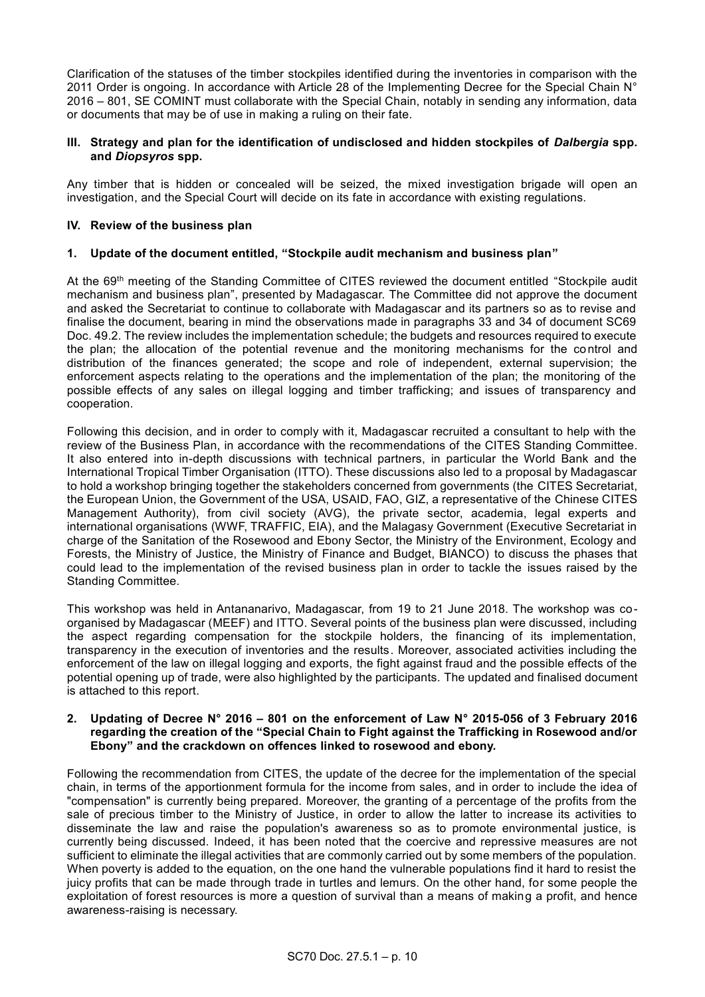Clarification of the statuses of the timber stockpiles identified during the inventories in comparison with the 2011 Order is ongoing. In accordance with Article 28 of the Implementing Decree for the Special Chain N° 2016 – 801, SE COMINT must collaborate with the Special Chain, notably in sending any information, data or documents that may be of use in making a ruling on their fate.

# **III. Strategy and plan for the identification of undisclosed and hidden stockpiles of** *Dalbergia* **spp. and** *Diopsyros* **spp.**

Any timber that is hidden or concealed will be seized, the mixed investigation brigade will open an investigation, and the Special Court will decide on its fate in accordance with existing regulations.

# **IV. Review of the business plan**

#### **1. Update of the document entitled, "Stockpile audit mechanism and business plan"**

At the 69th meeting of the Standing Committee of CITES reviewed the document entitled "Stockpile audit mechanism and business plan", presented by Madagascar. The Committee did not approve the document and asked the Secretariat to continue to collaborate with Madagascar and its partners so as to revise and finalise the document, bearing in mind the observations made in paragraphs 33 and 34 of document SC69 Doc. 49.2. The review includes the implementation schedule; the budgets and resources required to execute the plan; the allocation of the potential revenue and the monitoring mechanisms for the control and distribution of the finances generated; the scope and role of independent, external supervision; the enforcement aspects relating to the operations and the implementation of the plan; the monitoring of the possible effects of any sales on illegal logging and timber trafficking; and issues of transparency and cooperation.

Following this decision, and in order to comply with it, Madagascar recruited a consultant to help with the review of the Business Plan, in accordance with the recommendations of the CITES Standing Committee. It also entered into in-depth discussions with technical partners, in particular the World Bank and the International Tropical Timber Organisation (ITTO). These discussions also led to a proposal by Madagascar to hold a workshop bringing together the stakeholders concerned from governments (the CITES Secretariat, the European Union, the Government of the USA, USAID, FAO, GIZ, a representative of the Chinese CITES Management Authority), from civil society (AVG), the private sector, academia, legal experts and international organisations (WWF, TRAFFIC, EIA), and the Malagasy Government (Executive Secretariat in charge of the Sanitation of the Rosewood and Ebony Sector, the Ministry of the Environment, Ecology and Forests, the Ministry of Justice, the Ministry of Finance and Budget, BIANCO) to discuss the phases that could lead to the implementation of the revised business plan in order to tackle the issues raised by the Standing Committee.

This workshop was held in Antananarivo, Madagascar, from 19 to 21 June 2018. The workshop was coorganised by Madagascar (MEEF) and ITTO. Several points of the business plan were discussed, including the aspect regarding compensation for the stockpile holders, the financing of its implementation, transparency in the execution of inventories and the results. Moreover, associated activities including the enforcement of the law on illegal logging and exports, the fight against fraud and the possible effects of the potential opening up of trade, were also highlighted by the participants. The updated and finalised document is attached to this report.

#### **2. Updating of Decree N° 2016 – 801 on the enforcement of Law N° 2015-056 of 3 February 2016 regarding the creation of the "Special Chain to Fight against the Trafficking in Rosewood and/or Ebony" and the crackdown on offences linked to rosewood and ebony.**

Following the recommendation from CITES, the update of the decree for the implementation of the special chain, in terms of the apportionment formula for the income from sales, and in order to include the idea of "compensation" is currently being prepared. Moreover, the granting of a percentage of the profits from the sale of precious timber to the Ministry of Justice, in order to allow the latter to increase its activities to disseminate the law and raise the population's awareness so as to promote environmental justice, is currently being discussed. Indeed, it has been noted that the coercive and repressive measures are not sufficient to eliminate the illegal activities that are commonly carried out by some members of the population. When poverty is added to the equation, on the one hand the vulnerable populations find it hard to resist the juicy profits that can be made through trade in turtles and lemurs. On the other hand, for some people the exploitation of forest resources is more a question of survival than a means of making a profit, and hence awareness-raising is necessary.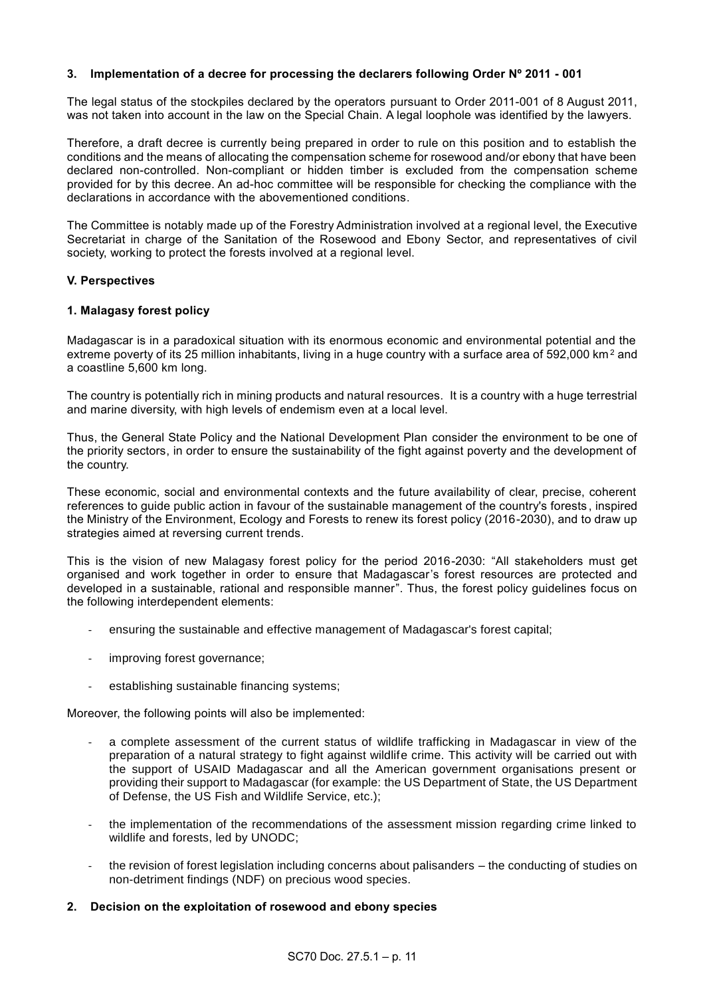#### **3. Implementation of a decree for processing the declarers following Order Nº 2011 - 001**

The legal status of the stockpiles declared by the operators pursuant to Order 2011-001 of 8 August 2011, was not taken into account in the law on the Special Chain. A legal loophole was identified by the lawyers.

Therefore, a draft decree is currently being prepared in order to rule on this position and to establish the conditions and the means of allocating the compensation scheme for rosewood and/or ebony that have been declared non-controlled. Non-compliant or hidden timber is excluded from the compensation scheme provided for by this decree. An ad-hoc committee will be responsible for checking the compliance with the declarations in accordance with the abovementioned conditions.

The Committee is notably made up of the Forestry Administration involved at a regional level, the Executive Secretariat in charge of the Sanitation of the Rosewood and Ebony Sector, and representatives of civil society, working to protect the forests involved at a regional level.

#### **V. Perspectives**

#### **1. Malagasy forest policy**

Madagascar is in a paradoxical situation with its enormous economic and environmental potential and the extreme poverty of its 25 million inhabitants, living in a huge country with a surface area of 592,000 km<sup>2</sup> and a coastline 5,600 km long.

The country is potentially rich in mining products and natural resources. It is a country with a huge terrestrial and marine diversity, with high levels of endemism even at a local level.

Thus, the General State Policy and the National Development Plan consider the environment to be one of the priority sectors, in order to ensure the sustainability of the fight against poverty and the development of the country.

These economic, social and environmental contexts and the future availability of clear, precise, coherent references to guide public action in favour of the sustainable management of the country's forests , inspired the Ministry of the Environment, Ecology and Forests to renew its forest policy (2016-2030), and to draw up strategies aimed at reversing current trends.

This is the vision of new Malagasy forest policy for the period 2016-2030: "All stakeholders must get organised and work together in order to ensure that Madagascar's forest resources are protected and developed in a sustainable, rational and responsible manner". Thus, the forest policy guidelines focus on the following interdependent elements:

- ensuring the sustainable and effective management of Madagascar's forest capital;
- improving forest governance;
- establishing sustainable financing systems;

Moreover, the following points will also be implemented:

- a complete assessment of the current status of wildlife trafficking in Madagascar in view of the preparation of a natural strategy to fight against wildlife crime. This activity will be carried out with the support of USAID Madagascar and all the American government organisations present or providing their support to Madagascar (for example: the US Department of State, the US Department of Defense, the US Fish and Wildlife Service, etc.);
- the implementation of the recommendations of the assessment mission regarding crime linked to wildlife and forests, led by UNODC;
- the revision of forest legislation including concerns about palisanders the conducting of studies on non-detriment findings (NDF) on precious wood species.

#### **2. Decision on the exploitation of rosewood and ebony species**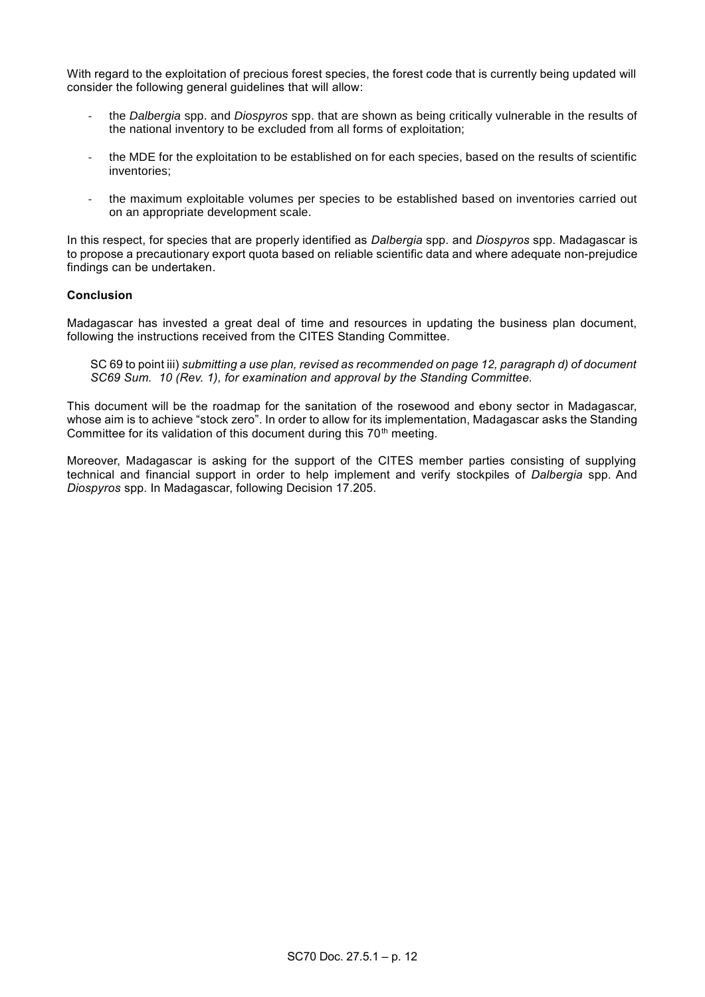With regard to the exploitation of precious forest species, the forest code that is currently being updated will consider the following general guidelines that will allow:

- the *Dalbergia* spp. and *Diospyros* spp. that are shown as being critically vulnerable in the results of the national inventory to be excluded from all forms of exploitation;
- the MDE for the exploitation to be established on for each species, based on the results of scientific inventories;
- the maximum exploitable volumes per species to be established based on inventories carried out on an appropriate development scale.

In this respect, for species that are properly identified as *Dalbergia* spp. and *Diospyros* spp. Madagascar is to propose a precautionary export quota based on reliable scientific data and where adequate non-prejudice findings can be undertaken.

#### **Conclusion**

Madagascar has invested a great deal of time and resources in updating the business plan document, following the instructions received from the CITES Standing Committee.

SC 69 to point iii) *submitting a use plan, revised as recommended on page 12, paragraph d) of document SC69 Sum. 10 (Rev. 1), for examination and approval by the Standing Committee.* 

This document will be the roadmap for the sanitation of the rosewood and ebony sector in Madagascar, whose aim is to achieve "stock zero". In order to allow for its implementation, Madagascar asks the Standing Committee for its validation of this document during this 70<sup>th</sup> meeting.

Moreover, Madagascar is asking for the support of the CITES member parties consisting of supplying technical and financial support in order to help implement and verify stockpiles of *Dalbergia* spp. And *Diospyros* spp. In Madagascar, following Decision 17.205.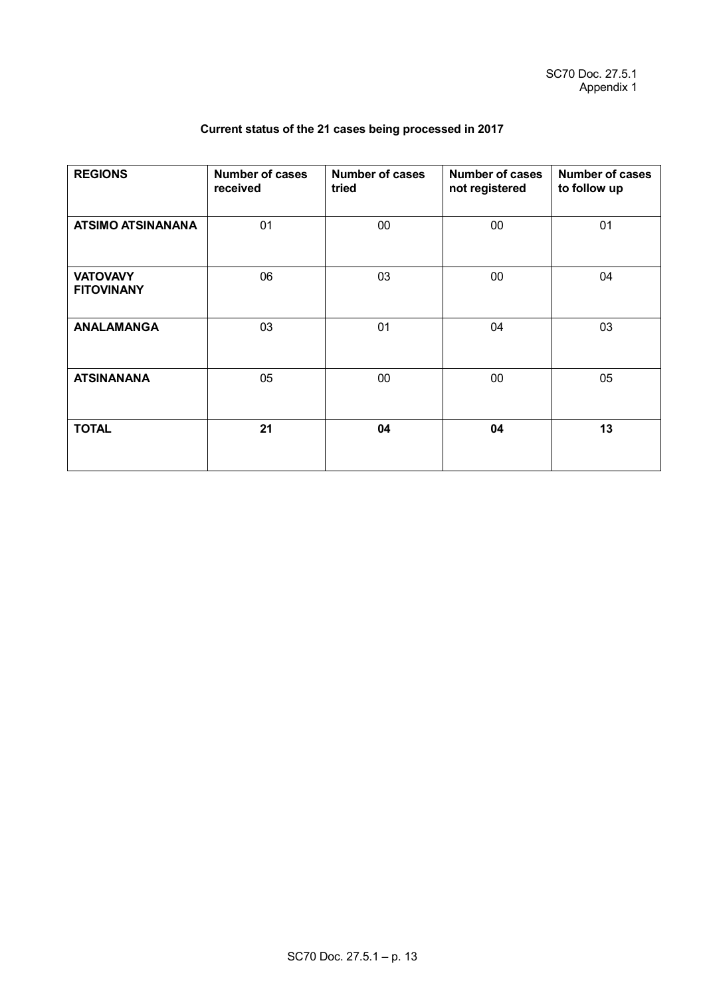| <b>REGIONS</b>                       | <b>Number of cases</b><br>received | <b>Number of cases</b><br>tried | <b>Number of cases</b><br>not registered | <b>Number of cases</b><br>to follow up<br>01 |  |
|--------------------------------------|------------------------------------|---------------------------------|------------------------------------------|----------------------------------------------|--|
| <b>ATSIMO ATSINANANA</b>             | 01                                 | 00                              | $00\,$                                   |                                              |  |
| <b>VATOVAVY</b><br><b>FITOVINANY</b> | 06                                 | 03                              | $00\,$                                   | 04                                           |  |
| <b>ANALAMANGA</b>                    | 03                                 | 01                              | 04                                       | 03                                           |  |
| <b>ATSINANANA</b>                    | 05                                 | $00\,$                          | $00\,$                                   | 05                                           |  |
| <b>TOTAL</b>                         | 21                                 | 04                              | 04                                       | 13                                           |  |

# **Current status of the 21 cases being processed in 2017**